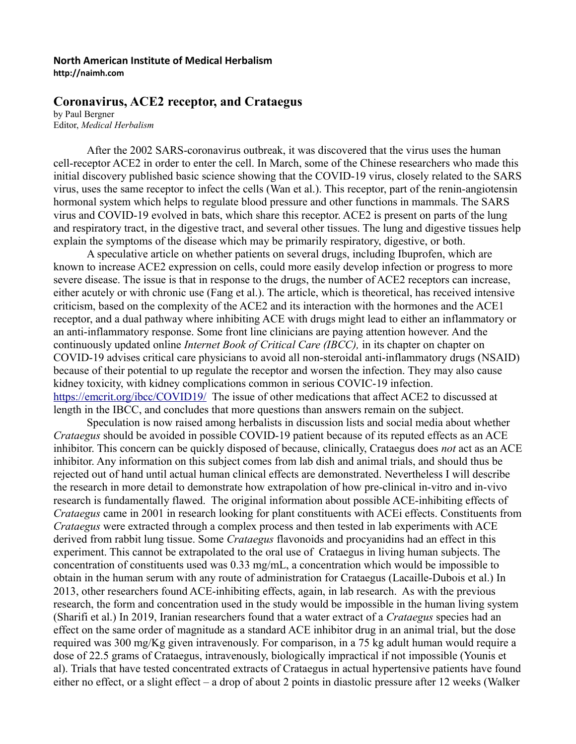## **North American Institute of Medical Herbalism http://naimh.com**

## **Coronavirus, ACE2 receptor, and Crataegus**

by Paul Bergner Editor, *Medical Herbalism*

After the 2002 SARS-coronavirus outbreak, it was discovered that the virus uses the human cell-receptor ACE2 in order to enter the cell. In March, some of the Chinese researchers who made this initial discovery published basic science showing that the COVID-19 virus, closely related to the SARS virus, uses the same receptor to infect the cells (Wan et al.). This receptor, part of the renin-angiotensin hormonal system which helps to regulate blood pressure and other functions in mammals. The SARS virus and COVID-19 evolved in bats, which share this receptor. ACE2 is present on parts of the lung and respiratory tract, in the digestive tract, and several other tissues. The lung and digestive tissues help explain the symptoms of the disease which may be primarily respiratory, digestive, or both.

A speculative article on whether patients on several drugs, including Ibuprofen, which are known to increase ACE2 expression on cells, could more easily develop infection or progress to more severe disease. The issue is that in response to the drugs, the number of ACE2 receptors can increase, either acutely or with chronic use (Fang et al.). The article, which is theoretical, has received intensive criticism, based on the complexity of the ACE2 and its interaction with the hormones and the ACE1 receptor, and a dual pathway where inhibiting ACE with drugs might lead to either an inflammatory or an anti-inflammatory response. Some front line clinicians are paying attention however. And the continuously updated online *Internet Book of Critical Care (IBCC),* in its chapter on chapter on COVID-19 advises critical care physicians to avoid all non-steroidal anti-inflammatory drugs (NSAID) because of their potential to up regulate the receptor and worsen the infection. They may also cause kidney toxicity, with kidney complications common in serious COVIC-19 infection. <https://emcrit.org/ibcc/COVID19/>The issue of other medications that affect ACE2 to discussed at length in the IBCC, and concludes that more questions than answers remain on the subject.

Speculation is now raised among herbalists in discussion lists and social media about whether *Crataegus* should be avoided in possible COVID-19 patient because of its reputed effects as an ACE inhibitor. This concern can be quickly disposed of because, clinically, Crataegus does *not* act as an ACE inhibitor. Any information on this subject comes from lab dish and animal trials, and should thus be rejected out of hand until actual human clinical effects are demonstrated. Nevertheless I will describe the research in more detail to demonstrate how extrapolation of how pre-clinical in-vitro and in-vivo research is fundamentally flawed. The original information about possible ACE-inhibiting effects of *Crataegus* came in 2001 in research looking for plant constituents with ACEi effects. Constituents from *Crataegus* were extracted through a complex process and then tested in lab experiments with ACE derived from rabbit lung tissue. Some *Crataegus* flavonoids and procyanidins had an effect in this experiment. This cannot be extrapolated to the oral use of Crataegus in living human subjects. The concentration of constituents used was 0.33 mg/mL, a concentration which would be impossible to obtain in the human serum with any route of administration for Crataegus (Lacaille-Dubois et al.) In 2013, other researchers found ACE-inhibiting effects, again, in lab research. As with the previous research, the form and concentration used in the study would be impossible in the human living system (Sharifi et al.) In 2019, Iranian researchers found that a water extract of a *Crataegus* species had an effect on the same order of magnitude as a standard ACE inhibitor drug in an animal trial, but the dose required was 300 mg/Kg given intravenously. For comparison, in a 75 kg adult human would require a dose of 22.5 grams of Crataegus, intravenously, biologically impractical if not impossible (Younis et al). Trials that have tested concentrated extracts of Crataegus in actual hypertensive patients have found either no effect, or a slight effect – a drop of about 2 points in diastolic pressure after 12 weeks (Walker